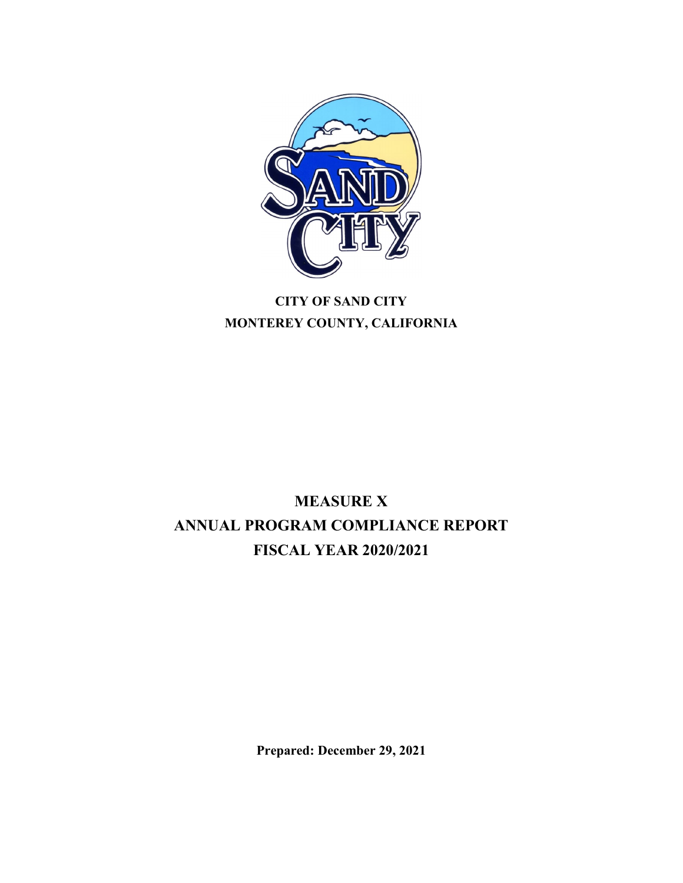

# **CITY OF SAND CITY MONTEREY COUNTY, CALIFORNIA**

# **MEASURE X ANNUAL PROGRAM COMPLIANCE REPORT FISCAL YEAR 2020/2021**

**Prepared: December 29, 2021**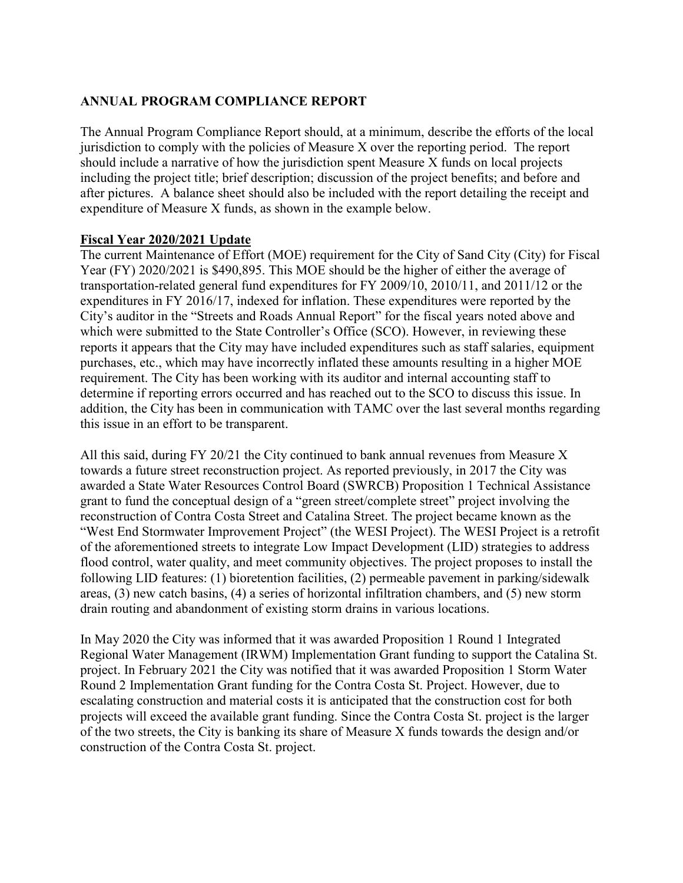### **ANNUAL PROGRAM COMPLIANCE REPORT**

The Annual Program Compliance Report should, at a minimum, describe the efforts of the local jurisdiction to comply with the policies of Measure X over the reporting period. The report should include a narrative of how the jurisdiction spent Measure X funds on local projects including the project title; brief description; discussion of the project benefits; and before and after pictures. A balance sheet should also be included with the report detailing the receipt and expenditure of Measure X funds, as shown in the example below.

#### **Fiscal Year 2020/2021 Update**

The current Maintenance of Effort (MOE) requirement for the City of Sand City (City) for Fiscal Year (FY) 2020/2021 is \$490,895. This MOE should be the higher of either the average of transportation-related general fund expenditures for FY 2009/10, 2010/11, and 2011/12 or the expenditures in FY 2016/17, indexed for inflation. These expenditures were reported by the City's auditor in the "Streets and Roads Annual Report" for the fiscal years noted above and which were submitted to the State Controller's Office (SCO). However, in reviewing these reports it appears that the City may have included expenditures such as staff salaries, equipment purchases, etc., which may have incorrectly inflated these amounts resulting in a higher MOE requirement. The City has been working with its auditor and internal accounting staff to determine if reporting errors occurred and has reached out to the SCO to discuss this issue. In addition, the City has been in communication with TAMC over the last several months regarding this issue in an effort to be transparent.

All this said, during FY 20/21 the City continued to bank annual revenues from Measure X towards a future street reconstruction project. As reported previously, in 2017 the City was awarded a State Water Resources Control Board (SWRCB) Proposition 1 Technical Assistance grant to fund the conceptual design of a "green street/complete street" project involving the reconstruction of Contra Costa Street and Catalina Street. The project became known as the "West End Stormwater Improvement Project" (the WESI Project). The WESI Project is a retrofit of the aforementioned streets to integrate Low Impact Development (LID) strategies to address flood control, water quality, and meet community objectives. The project proposes to install the following LID features: (1) bioretention facilities, (2) permeable pavement in parking/sidewalk areas, (3) new catch basins, (4) a series of horizontal infiltration chambers, and (5) new storm drain routing and abandonment of existing storm drains in various locations.

In May 2020 the City was informed that it was awarded Proposition 1 Round 1 Integrated Regional Water Management (IRWM) Implementation Grant funding to support the Catalina St. project. In February 2021 the City was notified that it was awarded Proposition 1 Storm Water Round 2 Implementation Grant funding for the Contra Costa St. Project. However, due to escalating construction and material costs it is anticipated that the construction cost for both projects will exceed the available grant funding. Since the Contra Costa St. project is the larger of the two streets, the City is banking its share of Measure X funds towards the design and/or construction of the Contra Costa St. project.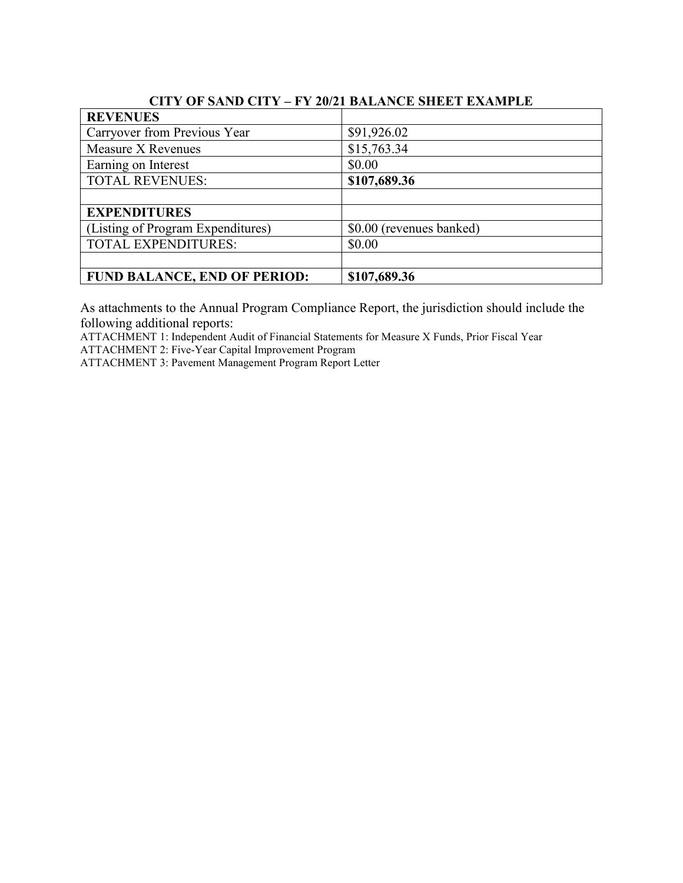| VII I VI DAND VII I - I I 406 I DALMNUD DIIDD I DANNII DD |                          |  |  |  |
|-----------------------------------------------------------|--------------------------|--|--|--|
| <b>REVENUES</b>                                           |                          |  |  |  |
| Carryover from Previous Year                              | \$91,926.02              |  |  |  |
| Measure X Revenues                                        | \$15,763.34              |  |  |  |
| Earning on Interest                                       | \$0.00                   |  |  |  |
| <b>TOTAL REVENUES:</b>                                    | \$107,689.36             |  |  |  |
|                                                           |                          |  |  |  |
| <b>EXPENDITURES</b>                                       |                          |  |  |  |
| (Listing of Program Expenditures)                         | \$0.00 (revenues banked) |  |  |  |
| <b>TOTAL EXPENDITURES:</b>                                | \$0.00                   |  |  |  |
|                                                           |                          |  |  |  |
| <b>FUND BALANCE, END OF PERIOD:</b>                       | \$107,689.36             |  |  |  |

### **CITY OF SAND CITY – FY 20/21 BALANCE SHEET EXAMPLE**

As attachments to the Annual Program Compliance Report, the jurisdiction should include the following additional reports:

ATTACHMENT 1: Independent Audit of Financial Statements for Measure X Funds, Prior Fiscal Year ATTACHMENT 2: Five-Year Capital Improvement Program

ATTACHMENT 3: Pavement Management Program Report Letter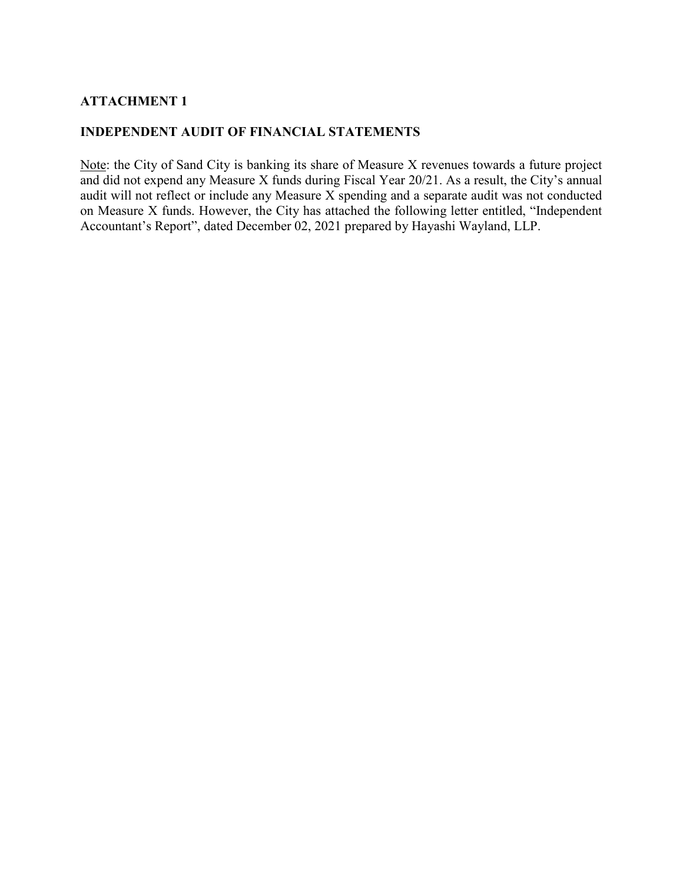### **ATTACHMENT 1**

#### **INDEPENDENT AUDIT OF FINANCIAL STATEMENTS**

Note: the City of Sand City is banking its share of Measure X revenues towards a future project and did not expend any Measure X funds during Fiscal Year 20/21. As a result, the City's annual audit will not reflect or include any Measure X spending and a separate audit was not conducted on Measure X funds. However, the City has attached the following letter entitled, "Independent Accountant's Report", dated December 02, 2021 prepared by Hayashi Wayland, LLP.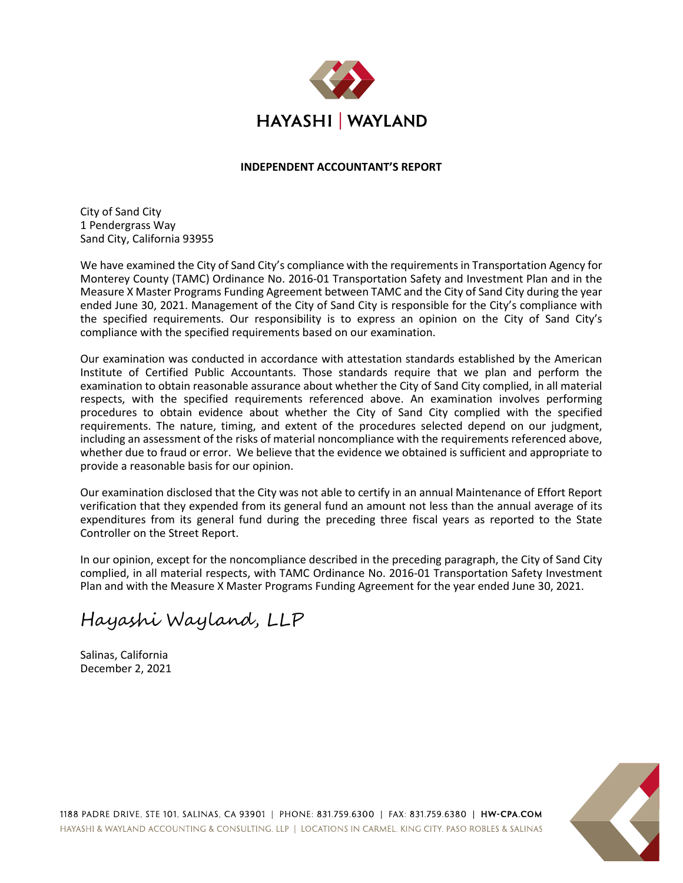

#### **INDEPENDENT ACCOUNTANT'S REPORT**

City of Sand City 1 Pendergrass Way Sand City, California 93955

We have examined the City of Sand City's compliance with the requirements in Transportation Agency for Monterey County (TAMC) Ordinance No. 2016-01 Transportation Safety and Investment Plan and in the Measure X Master Programs Funding Agreement between TAMC and the City of Sand City during the year ended June 30, 2021. Management of the City of Sand City is responsible for the City's compliance with the specified requirements. Our responsibility is to express an opinion on the City of Sand City's compliance with the specified requirements based on our examination.

Our examination was conducted in accordance with attestation standards established by the American Institute of Certified Public Accountants. Those standards require that we plan and perform the examination to obtain reasonable assurance about whether the City of Sand City complied, in all material respects, with the specified requirements referenced above. An examination involves performing procedures to obtain evidence about whether the City of Sand City complied with the specified requirements. The nature, timing, and extent of the procedures selected depend on our judgment, including an assessment of the risks of material noncompliance with the requirements referenced above, whether due to fraud or error. We believe that the evidence we obtained is sufficient and appropriate to provide a reasonable basis for our opinion.

Our examination disclosed that the City was not able to certify in an annual Maintenance of Effort Report verification that they expended from its general fund an amount not less than the annual average of its expenditures from its general fund during the preceding three fiscal years as reported to the State Controller on the Street Report.

In our opinion, except for the noncompliance described in the preceding paragraph, the City of Sand City complied, in all material respects, with TAMC Ordinance No. 2016-01 Transportation Safety Investment Plan and with the Measure X Master Programs Funding Agreement for the year ended June 30, 2021.

Hayashi Wayland, LLP

Salinas, California December 2, 2021

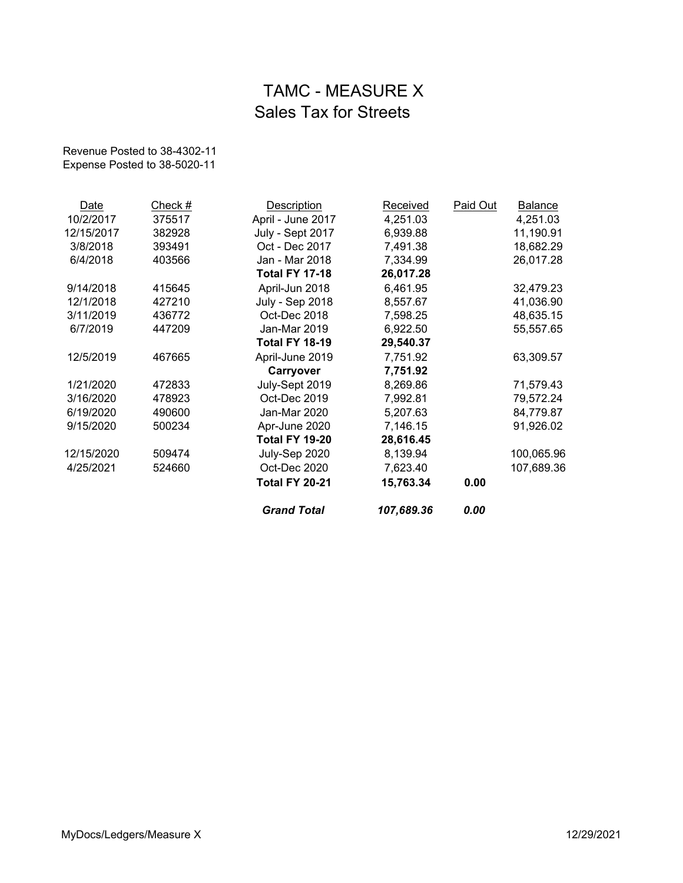# TAMC - MEASURE X Sales Tax for Streets

Revenue Posted to 38-4302-11 Expense Posted to 38-5020-11

|            |         | <b>Grand Total</b>     | 107,689.36 | 0.00     |                |
|------------|---------|------------------------|------------|----------|----------------|
|            |         | <b>Total FY 20-21</b>  | 15,763.34  | 0.00     |                |
| 4/25/2021  | 524660  | Oct-Dec 2020           | 7,623.40   |          | 107,689.36     |
| 12/15/2020 | 509474  | July-Sep 2020          | 8,139.94   |          | 100,065.96     |
|            |         | <b>Total FY 19-20</b>  | 28,616.45  |          |                |
| 9/15/2020  | 500234  | Apr-June 2020          | 7,146.15   |          | 91,926.02      |
| 6/19/2020  | 490600  | Jan-Mar 2020           | 5,207.63   |          | 84,779.87      |
| 3/16/2020  | 478923  | Oct-Dec 2019           | 7,992.81   |          | 79,572.24      |
| 1/21/2020  | 472833  | July-Sept 2019         | 8,269.86   |          | 71,579.43      |
|            |         | Carryover              | 7,751.92   |          |                |
| 12/5/2019  | 467665  | April-June 2019        | 7,751.92   |          | 63,309.57      |
|            |         | <b>Total FY 18-19</b>  | 29,540.37  |          |                |
| 6/7/2019   | 447209  | Jan-Mar 2019           | 6,922.50   |          | 55,557.65      |
| 3/11/2019  | 436772  | Oct-Dec 2018           | 7,598.25   |          | 48,635.15      |
| 12/1/2018  | 427210  | <b>July - Sep 2018</b> | 8,557.67   |          | 41,036.90      |
| 9/14/2018  | 415645  | April-Jun 2018         | 6,461.95   |          | 32,479.23      |
|            |         | <b>Total FY 17-18</b>  | 26,017.28  |          |                |
| 6/4/2018   | 403566  | Jan - Mar 2018         | 7,334.99   |          | 26,017.28      |
| 3/8/2018   | 393491  | Oct - Dec 2017         | 7,491.38   |          | 18,682.29      |
| 12/15/2017 | 382928  | July - Sept 2017       | 6,939.88   |          | 11,190.91      |
| 10/2/2017  | 375517  | April - June 2017      | 4,251.03   |          | 4,251.03       |
| Date       | Check # | <b>Description</b>     | Received   | Paid Out | <b>Balance</b> |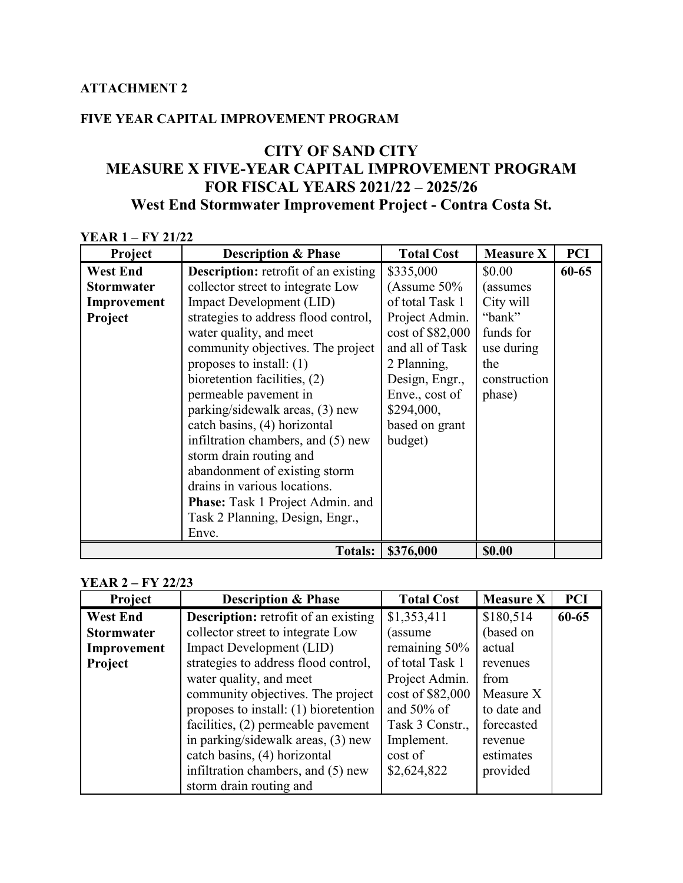### **FIVE YEAR CAPITAL IMPROVEMENT PROGRAM**

### **CITY OF SAND CITY MEASURE X FIVE-YEAR CAPITAL IMPROVEMENT PROGRAM FOR FISCAL YEARS 2021/22 – 2025/26 West End Stormwater Improvement Project - Contra Costa St.**

| <b>YEAR 1 – FY 21/22</b> |                                             |                   |                  |            |
|--------------------------|---------------------------------------------|-------------------|------------------|------------|
| Project                  | <b>Description &amp; Phase</b>              | <b>Total Cost</b> | <b>Measure X</b> | <b>PCI</b> |
| <b>West End</b>          | <b>Description:</b> retrofit of an existing | \$335,000         | \$0.00           | $60 - 65$  |
| <b>Stormwater</b>        | collector street to integrate Low           | (Assume $50\%$    | (assumes)        |            |
| Improvement              | <b>Impact Development (LID)</b>             | of total Task 1   | City will        |            |
| Project                  | strategies to address flood control,        | Project Admin.    | "bank"           |            |
|                          | water quality, and meet                     | cost of \$82,000  | funds for        |            |
|                          | community objectives. The project           | and all of Task   | use during       |            |
|                          | proposes to install: $(1)$                  | 2 Planning,       | the              |            |
|                          | bioretention facilities, (2)                | Design, Engr.,    | construction     |            |
|                          | permeable pavement in                       | Enve., cost of    | phase)           |            |
|                          | parking/sidewalk areas, (3) new             | \$294,000,        |                  |            |
|                          | catch basins, (4) horizontal                | based on grant    |                  |            |
|                          | infiltration chambers, and (5) new          | budget)           |                  |            |
|                          | storm drain routing and                     |                   |                  |            |
|                          | abandonment of existing storm               |                   |                  |            |
|                          | drains in various locations.                |                   |                  |            |
|                          | <b>Phase:</b> Task 1 Project Admin. and     |                   |                  |            |
|                          | Task 2 Planning, Design, Engr.,             |                   |                  |            |
|                          | Enve.                                       |                   |                  |            |
|                          | <b>Totals:</b>                              | \$376,000         | \$0.00           |            |

#### **YEAR 2 – FY 22/23**

| Project           | <b>Description &amp; Phase</b>              | <b>Total Cost</b> | <b>Measure X</b> | <b>PCI</b> |
|-------------------|---------------------------------------------|-------------------|------------------|------------|
| <b>West End</b>   | <b>Description:</b> retrofit of an existing | \$1,353,411       | \$180,514        | 60-65      |
| <b>Stormwater</b> | collector street to integrate Low           | (assume           | (based on        |            |
| Improvement       | <b>Impact Development (LID)</b>             | remaining 50%     | actual           |            |
| Project           | strategies to address flood control,        | of total Task 1   | revenues         |            |
|                   | water quality, and meet                     | Project Admin.    | from             |            |
|                   | community objectives. The project           | cost of \$82,000  | Measure X        |            |
|                   | proposes to install: (1) bioretention       | and $50\%$ of     | to date and      |            |
|                   | facilities, (2) permeable pavement          | Task 3 Constr.,   | forecasted       |            |
|                   | in parking/sidewalk areas, (3) new          | Implement.        | revenue          |            |
|                   | catch basins, (4) horizontal                | cost of           | estimates        |            |
|                   | infiltration chambers, and (5) new          | \$2,624,822       | provided         |            |
|                   | storm drain routing and                     |                   |                  |            |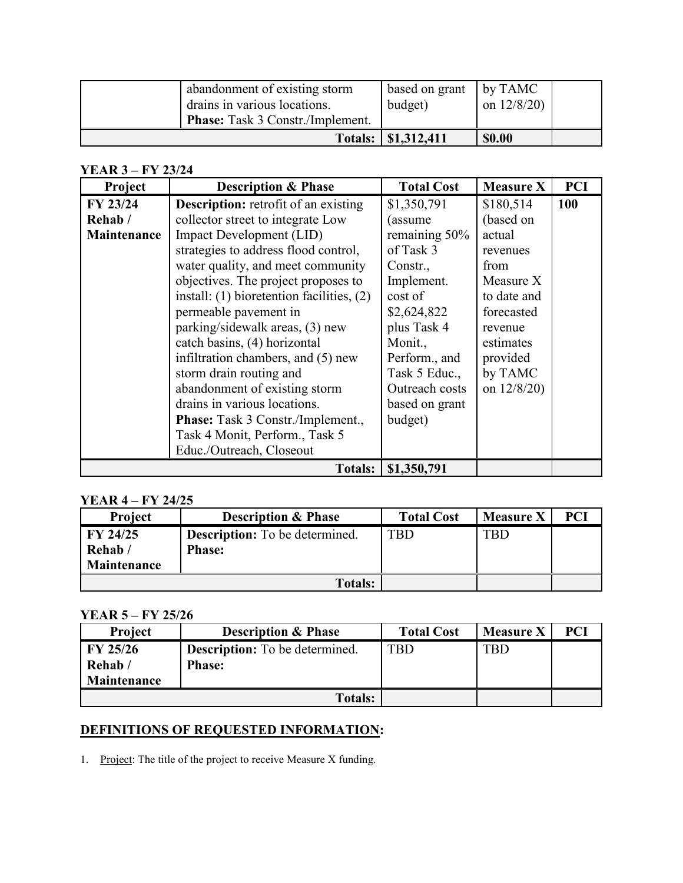| abandonment of existing storm<br>drains in various locations.<br><b>Phase:</b> Task 3 Constr./Implement. | based on grant<br>budget) | $\vert$ by TAMC<br>on $12/8/20$ |  |
|----------------------------------------------------------------------------------------------------------|---------------------------|---------------------------------|--|
|                                                                                                          | Totals: \ \\$1,312,411    | <b>\$0.00</b>                   |  |

### **YEAR 3 – FY 23/24**

| Project     | <b>Description &amp; Phase</b>                | <b>Total Cost</b> | <b>Measure X</b> | <b>PCI</b> |
|-------------|-----------------------------------------------|-------------------|------------------|------------|
| FY 23/24    | <b>Description:</b> retrofit of an existing   | \$1,350,791       | \$180,514        | 100        |
| Rehab/      | collector street to integrate Low             | (assume           | (based on        |            |
| Maintenance | <b>Impact Development (LID)</b>               | remaining 50%     | actual           |            |
|             | strategies to address flood control,          | of Task 3         | revenues         |            |
|             | water quality, and meet community             | Constr.,          | from             |            |
|             | objectives. The project proposes to           | Implement.        | Measure X        |            |
|             | install: $(1)$ bioretention facilities, $(2)$ | cost of           | to date and      |            |
|             | permeable pavement in                         | \$2,624,822       | forecasted       |            |
|             | parking/sidewalk areas, (3) new               | plus Task 4       | revenue          |            |
|             | catch basins, (4) horizontal                  | Monit.,           | estimates        |            |
|             | infiltration chambers, and (5) new            | Perform., and     | provided         |            |
|             | storm drain routing and                       | Task 5 Educ.,     | by TAMC          |            |
|             | abandonment of existing storm                 | Outreach costs    | on $12/8/20$ )   |            |
|             | drains in various locations.                  | based on grant    |                  |            |
|             | Phase: Task 3 Constr./Implement.,             | budget)           |                  |            |
|             | Task 4 Monit, Perform., Task 5                |                   |                  |            |
|             | Educ./Outreach, Closeout                      |                   |                  |            |
|             | <b>Totals:</b>                                | \$1,350,791       |                  |            |

### **YEAR 4 – FY 24/25**

| <b>Project</b>                    | <b>Description &amp; Phase</b>                         | <b>Total Cost</b> | <b>Measure X</b> | PCI |
|-----------------------------------|--------------------------------------------------------|-------------------|------------------|-----|
| FY 24/25<br>Rehab/<br>Maintenance | <b>Description:</b> To be determined.<br><b>Phase:</b> | TBD               | <b>TBD</b>       |     |
|                                   | <b>Totals:</b>                                         |                   |                  |     |

### **YEAR 5 – FY 25/26**

| Project     | <b>Description &amp; Phase</b>        | <b>Total Cost</b> | <b>Measure X</b> | PCI |
|-------------|---------------------------------------|-------------------|------------------|-----|
| FY 25/26    | <b>Description:</b> To be determined. | TBD               | <b>TBD</b>       |     |
| Rehab/      | <b>Phase:</b>                         |                   |                  |     |
| Maintenance |                                       |                   |                  |     |
|             | <b>Totals:</b>                        |                   |                  |     |

### **DEFINITIONS OF REQUESTED INFORMATION:**

1. Project: The title of the project to receive Measure X funding.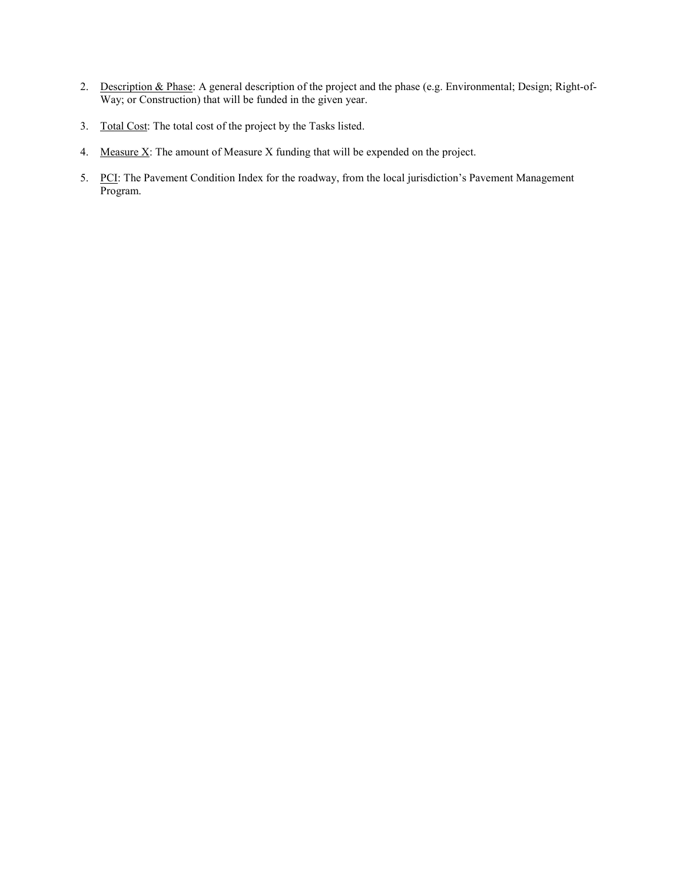- 2. Description & Phase: A general description of the project and the phase (e.g. Environmental; Design; Right-of-Way; or Construction) that will be funded in the given year.
- 3. Total Cost: The total cost of the project by the Tasks listed.
- 4. Measure  $X$ : The amount of Measure X funding that will be expended on the project.
- 5. PCI: The Pavement Condition Index for the roadway, from the local jurisdiction's Pavement Management Program.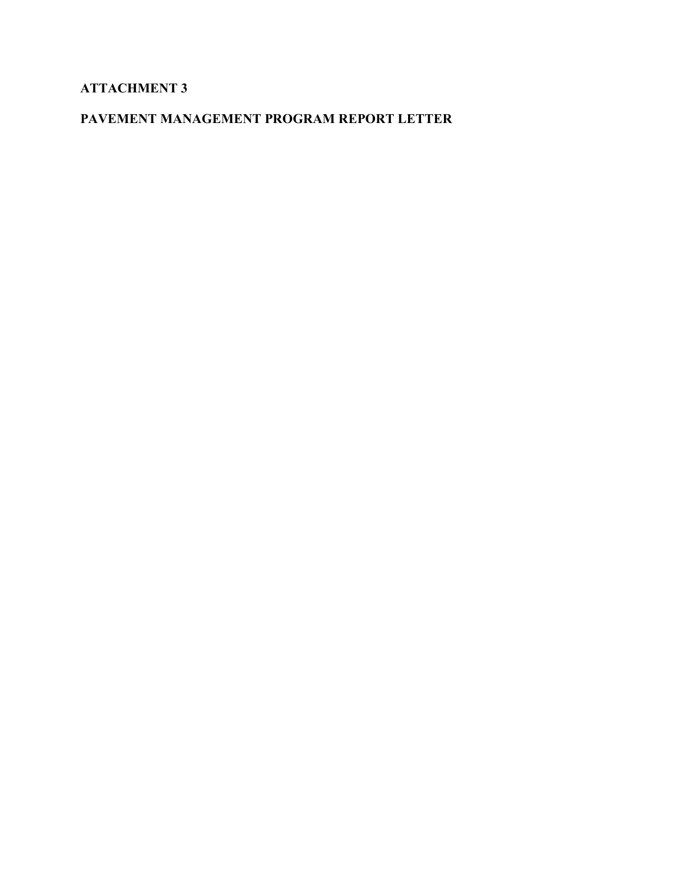### **ATTACHMENT 3**

### **PAVEMENT MANAGEMENT PROGRAM REPORT LETTER**